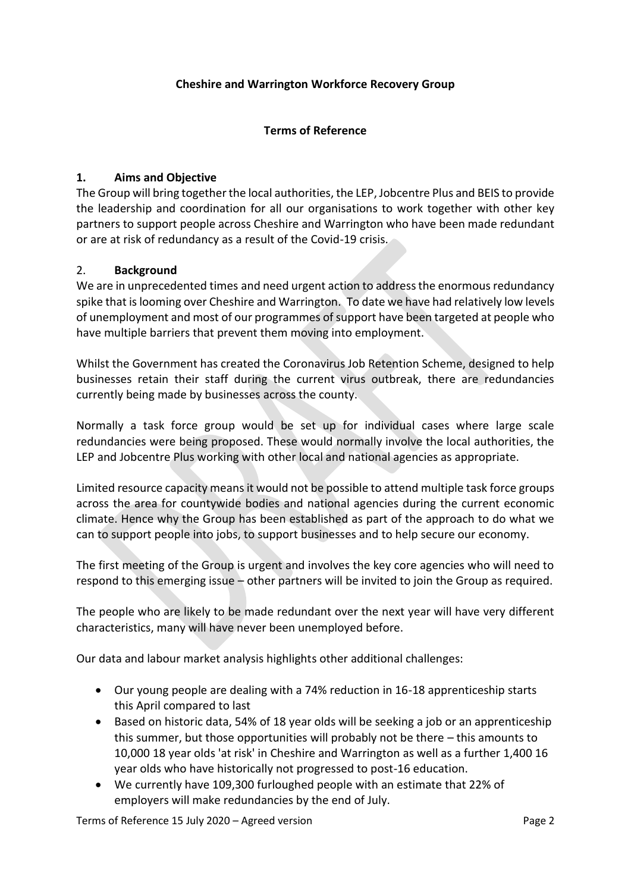## **Cheshire and Warrington Workforce Recovery Group**

## **Terms of Reference**

## **1. Aims and Objective**

The Group will bring together the local authorities, the LEP, Jobcentre Plus and BEIS to provide the leadership and coordination for all our organisations to work together with other key partners to support people across Cheshire and Warrington who have been made redundant or are at risk of redundancy as a result of the Covid-19 crisis.

#### 2. **Background**

We are in unprecedented times and need urgent action to address the enormous redundancy spike that is looming over Cheshire and Warrington. To date we have had relatively low levels of unemployment and most of our programmes of support have been targeted at people who have multiple barriers that prevent them moving into employment.

Whilst the Government has created the Coronavirus Job Retention Scheme, designed to help businesses retain their staff during the current virus outbreak, there are redundancies currently being made by businesses across the county.

Normally a task force group would be set up for individual cases where large scale redundancies were being proposed. These would normally involve the local authorities, the LEP and Jobcentre Plus working with other local and national agencies as appropriate.

Limited resource capacity means it would not be possible to attend multiple task force groups across the area for countywide bodies and national agencies during the current economic climate. Hence why the Group has been established as part of the approach to do what we can to support people into jobs, to support businesses and to help secure our economy.

The first meeting of the Group is urgent and involves the key core agencies who will need to respond to this emerging issue – other partners will be invited to join the Group as required.

The people who are likely to be made redundant over the next year will have very different characteristics, many will have never been unemployed before.

Our data and labour market analysis highlights other additional challenges:

- Our young people are dealing with a 74% reduction in 16-18 apprenticeship starts this April compared to last
- Based on historic data, 54% of 18 year olds will be seeking a job or an apprenticeship this summer, but those opportunities will probably not be there – this amounts to 10,000 18 year olds 'at risk' in Cheshire and Warrington as well as a further 1,400 16 year olds who have historically not progressed to post-16 education.
- We currently have 109,300 furloughed people with an estimate that 22% of employers will make redundancies by the end of July.

Terms of Reference 15 July 2020 – Agreed version **Page 2** Page 2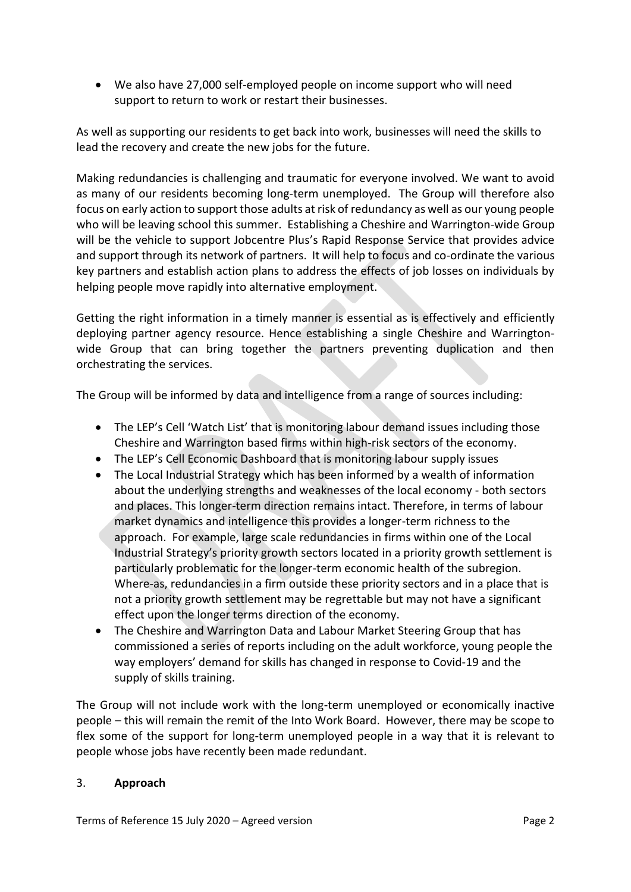• We also have 27,000 self-employed people on income support who will need support to return to work or restart their businesses.

As well as supporting our residents to get back into work, businesses will need the skills to lead the recovery and create the new jobs for the future.

Making redundancies is challenging and traumatic for everyone involved. We want to avoid as many of our residents becoming long-term unemployed. The Group will therefore also focus on early action to support those adults at risk of redundancy as well as our young people who will be leaving school this summer. Establishing a Cheshire and Warrington-wide Group will be the vehicle to support Jobcentre Plus's Rapid Response Service that provides advice and support through its network of partners. It will help to focus and co-ordinate the various key partners and establish action plans to address the effects of job losses on individuals by helping people move rapidly into alternative employment.

Getting the right information in a timely manner is essential as is effectively and efficiently deploying partner agency resource. Hence establishing a single Cheshire and Warringtonwide Group that can bring together the partners preventing duplication and then orchestrating the services.

The Group will be informed by data and intelligence from a range of sources including:

- The LEP's Cell 'Watch List' that is monitoring labour demand issues including those Cheshire and Warrington based firms within high-risk sectors of the economy.
- The LEP's Cell Economic Dashboard that is monitoring labour supply issues
- The Local Industrial Strategy which has been informed by a wealth of information about the underlying strengths and weaknesses of the local economy - both sectors and places. This longer-term direction remains intact. Therefore, in terms of labour market dynamics and intelligence this provides a longer-term richness to the approach. For example, large scale redundancies in firms within one of the Local Industrial Strategy's priority growth sectors located in a priority growth settlement is particularly problematic for the longer-term economic health of the subregion. Where-as, redundancies in a firm outside these priority sectors and in a place that is not a priority growth settlement may be regrettable but may not have a significant effect upon the longer terms direction of the economy.
- The Cheshire and Warrington Data and Labour Market Steering Group that has commissioned a series of reports including on the adult workforce, young people the way employers' demand for skills has changed in response to Covid-19 and the supply of skills training.

The Group will not include work with the long-term unemployed or economically inactive people – this will remain the remit of the Into Work Board. However, there may be scope to flex some of the support for long-term unemployed people in a way that it is relevant to people whose jobs have recently been made redundant.

# 3. **Approach**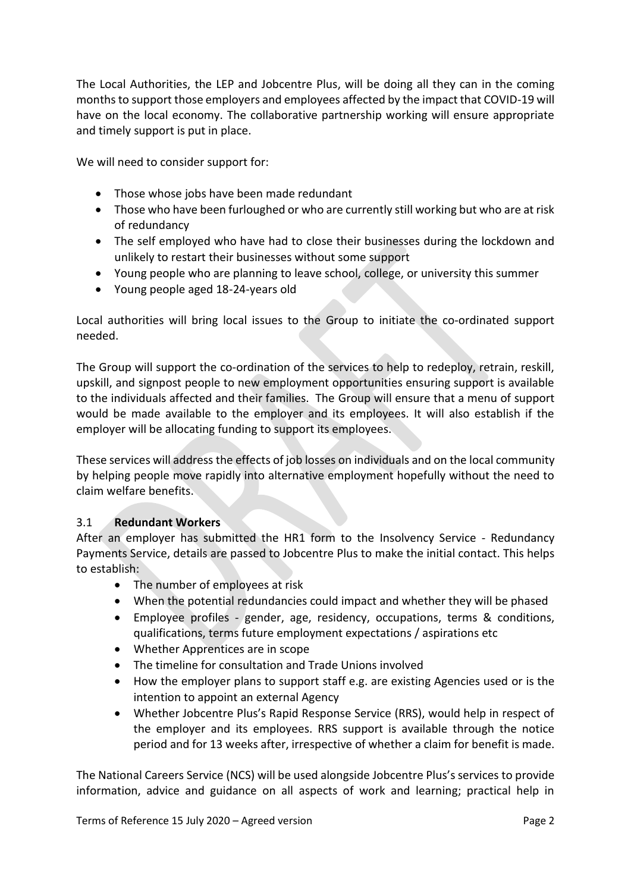The Local Authorities, the LEP and Jobcentre Plus, will be doing all they can in the coming months to support those employers and employees affected by the impact that COVID-19 will have on the local economy. The collaborative partnership working will ensure appropriate and timely support is put in place.

We will need to consider support for:

- Those whose jobs have been made redundant
- Those who have been furloughed or who are currently still working but who are at risk of redundancy
- The self employed who have had to close their businesses during the lockdown and unlikely to restart their businesses without some support
- Young people who are planning to leave school, college, or university this summer
- Young people aged 18-24-years old

Local authorities will bring local issues to the Group to initiate the co-ordinated support needed.

The Group will support the co-ordination of the services to help to redeploy, retrain, reskill, upskill, and signpost people to new employment opportunities ensuring support is available to the individuals affected and their families. The Group will ensure that a menu of support would be made available to the employer and its employees. It will also establish if the employer will be allocating funding to support its employees.

These services will address the effects of job losses on individuals and on the local community by helping people move rapidly into alternative employment hopefully without the need to claim welfare benefits.

# 3.1 **Redundant Workers**

After an employer has submitted the HR1 form to the Insolvency Service - Redundancy Payments Service, details are passed to Jobcentre Plus to make the initial contact. This helps to establish:

- The number of employees at risk
- When the potential redundancies could impact and whether they will be phased
- Employee profiles gender, age, residency, occupations, terms & conditions, qualifications, terms future employment expectations / aspirations etc
- Whether Apprentices are in scope
- The timeline for consultation and Trade Unions involved
- How the employer plans to support staff e.g. are existing Agencies used or is the intention to appoint an external Agency
- Whether Jobcentre Plus's Rapid Response Service (RRS), would help in respect of the employer and its employees. RRS support is available through the notice period and for 13 weeks after, irrespective of whether a claim for benefit is made.

The National Careers Service (NCS) will be used alongside Jobcentre Plus's services to provide information, advice and guidance on all aspects of work and learning; practical help in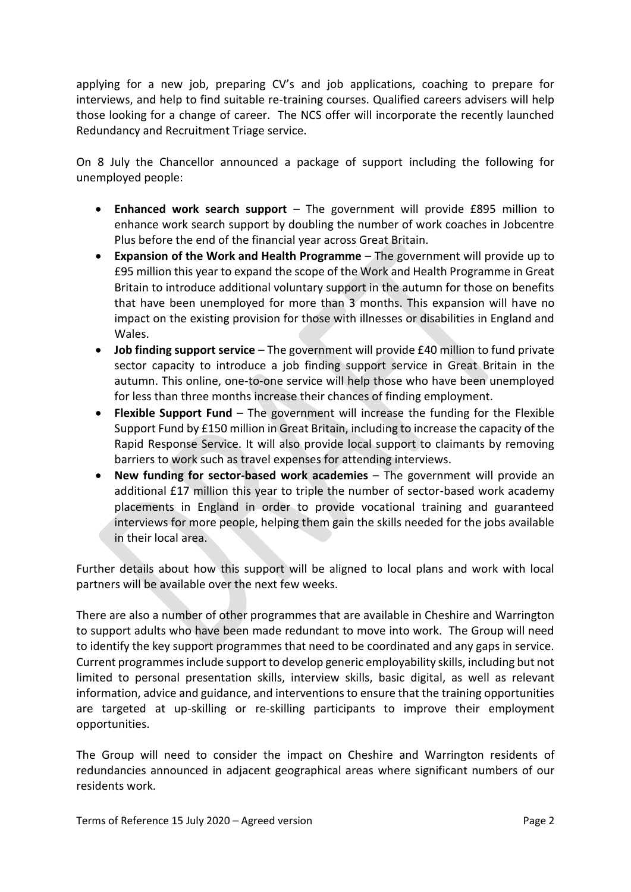applying for a new job, preparing CV's and job applications, coaching to prepare for interviews, and help to find suitable re-training courses. Qualified careers advisers will help those looking for a change of career. The NCS offer will incorporate the recently launched Redundancy and Recruitment Triage service.

On 8 July the Chancellor announced a package of support including the following for unemployed people:

- **Enhanced work search support** The government will provide £895 million to enhance work search support by doubling the number of work coaches in Jobcentre Plus before the end of the financial year across Great Britain.
- **Expansion of the Work and Health Programme** The government will provide up to £95 million this year to expand the scope of the Work and Health Programme in Great Britain to introduce additional voluntary support in the autumn for those on benefits that have been unemployed for more than 3 months. This expansion will have no impact on the existing provision for those with illnesses or disabilities in England and Wales.
- **Job finding support service** The government will provide £40 million to fund private sector capacity to introduce a job finding support service in Great Britain in the autumn. This online, one-to-one service will help those who have been unemployed for less than three months increase their chances of finding employment.
- **Flexible Support Fund** The government will increase the funding for the Flexible Support Fund by £150 million in Great Britain, including to increase the capacity of the Rapid Response Service. It will also provide local support to claimants by removing barriers to work such as travel expenses for attending interviews.
- **New funding for sector-based work academies** The government will provide an additional £17 million this year to triple the number of sector-based work academy placements in England in order to provide vocational training and guaranteed interviews for more people, helping them gain the skills needed for the jobs available in their local area.

Further details about how this support will be aligned to local plans and work with local partners will be available over the next few weeks.

There are also a number of other programmes that are available in Cheshire and Warrington to support adults who have been made redundant to move into work. The Group will need to identify the key support programmes that need to be coordinated and any gaps in service. Current programmes include support to develop generic employability skills, including but not limited to personal presentation skills, interview skills, basic digital, as well as relevant information, advice and guidance, and interventions to ensure that the training opportunities are targeted at up-skilling or re-skilling participants to improve their employment opportunities.

The Group will need to consider the impact on Cheshire and Warrington residents of redundancies announced in adjacent geographical areas where significant numbers of our residents work.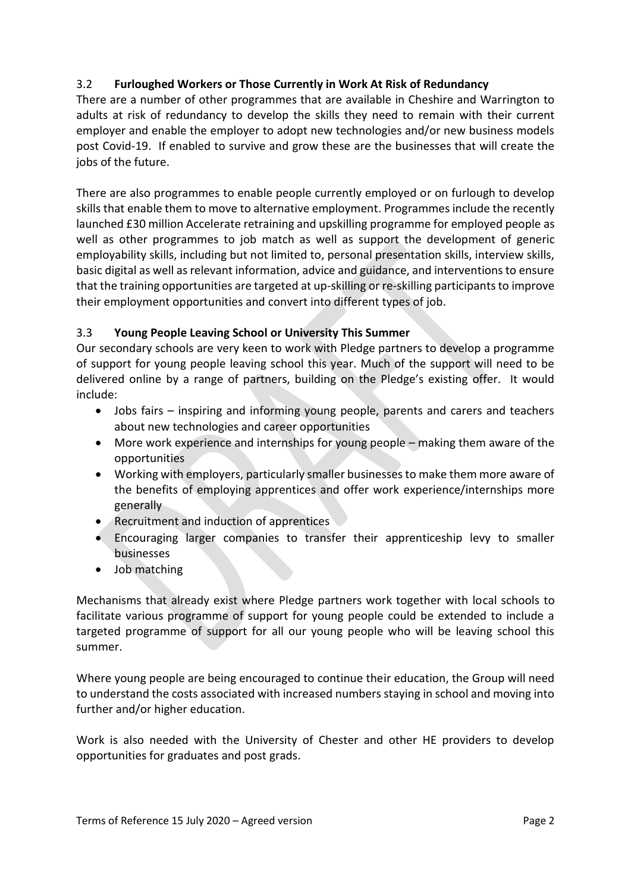# 3.2 **Furloughed Workers or Those Currently in Work At Risk of Redundancy**

There are a number of other programmes that are available in Cheshire and Warrington to adults at risk of redundancy to develop the skills they need to remain with their current employer and enable the employer to adopt new technologies and/or new business models post Covid-19. If enabled to survive and grow these are the businesses that will create the jobs of the future.

There are also programmes to enable people currently employed or on furlough to develop skills that enable them to move to alternative employment. Programmes include the recently launched £30 million Accelerate retraining and upskilling programme for employed people as well as other programmes to job match as well as support the development of generic employability skills, including but not limited to, personal presentation skills, interview skills, basic digital as well as relevant information, advice and guidance, and interventions to ensure that the training opportunities are targeted at up-skilling or re-skilling participants to improve their employment opportunities and convert into different types of job.

# 3.3 **Young People Leaving School or University This Summer**

Our secondary schools are very keen to work with Pledge partners to develop a programme of support for young people leaving school this year. Much of the support will need to be delivered online by a range of partners, building on the Pledge's existing offer. It would include:

- Jobs fairs inspiring and informing young people, parents and carers and teachers about new technologies and career opportunities
- More work experience and internships for young people making them aware of the opportunities
- Working with employers, particularly smaller businesses to make them more aware of the benefits of employing apprentices and offer work experience/internships more generally
- Recruitment and induction of apprentices
- Encouraging larger companies to transfer their apprenticeship levy to smaller businesses
- Job matching

Mechanisms that already exist where Pledge partners work together with local schools to facilitate various programme of support for young people could be extended to include a targeted programme of support for all our young people who will be leaving school this summer.

Where young people are being encouraged to continue their education, the Group will need to understand the costs associated with increased numbers staying in school and moving into further and/or higher education.

Work is also needed with the University of Chester and other HE providers to develop opportunities for graduates and post grads.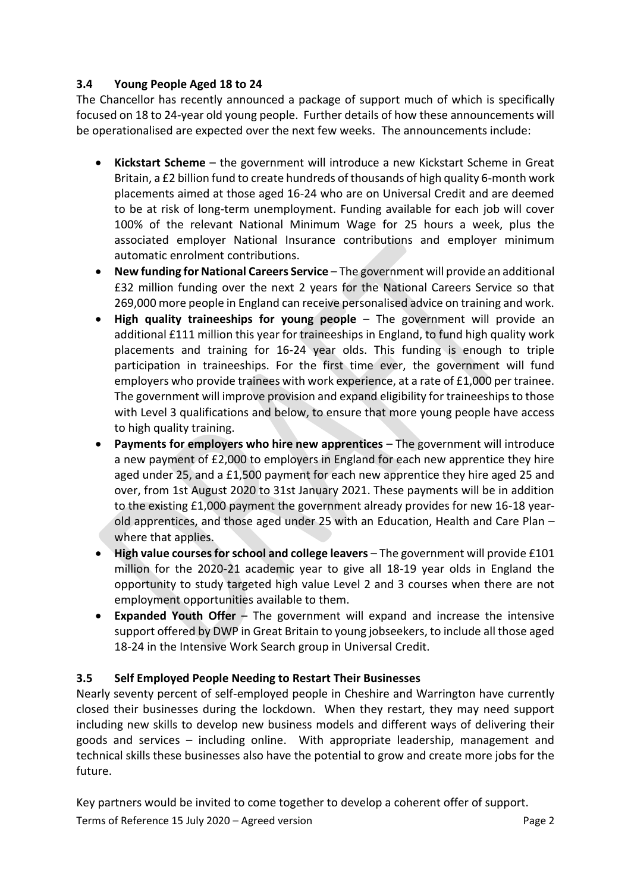# **3.4 Young People Aged 18 to 24**

The Chancellor has recently announced a package of support much of which is specifically focused on 18 to 24-year old young people. Further details of how these announcements will be operationalised are expected over the next few weeks. The announcements include:

- **Kickstart Scheme** the government will introduce a new Kickstart Scheme in Great Britain, a £2 billion fund to create hundreds of thousands of high quality 6-month work placements aimed at those aged 16-24 who are on Universal Credit and are deemed to be at risk of long-term unemployment. Funding available for each job will cover 100% of the relevant National Minimum Wage for 25 hours a week, plus the associated employer National Insurance contributions and employer minimum automatic enrolment contributions.
- **New funding for National Careers Service** The government will provide an additional £32 million funding over the next 2 years for the National Careers Service so that 269,000 more people in England can receive personalised advice on training and work.
- **High quality traineeships for young people** The government will provide an additional £111 million this year for traineeships in England, to fund high quality work placements and training for 16-24 year olds. This funding is enough to triple participation in traineeships. For the first time ever, the government will fund employers who provide trainees with work experience, at a rate of £1,000 per trainee. The government will improve provision and expand eligibility for traineeships to those with Level 3 qualifications and below, to ensure that more young people have access to high quality training.
- **Payments for employers who hire new apprentices** The government will introduce a new payment of £2,000 to employers in England for each new apprentice they hire aged under 25, and a £1,500 payment for each new apprentice they hire aged 25 and over, from 1st August 2020 to 31st January 2021. These payments will be in addition to the existing £1,000 payment the government already provides for new 16-18 yearold apprentices, and those aged under 25 with an Education, Health and Care Plan – where that applies.
- **High value courses for school and college leavers** The government will provide £101 million for the 2020-21 academic year to give all 18-19 year olds in England the opportunity to study targeted high value Level 2 and 3 courses when there are not employment opportunities available to them.
- **Expanded Youth Offer** The government will expand and increase the intensive support offered by DWP in Great Britain to young jobseekers, to include all those aged 18-24 in the Intensive Work Search group in Universal Credit.

# **3.5 Self Employed People Needing to Restart Their Businesses**

Nearly seventy percent of self-employed people in Cheshire and Warrington have currently closed their businesses during the lockdown. When they restart, they may need support including new skills to develop new business models and different ways of delivering their goods and services – including online. With appropriate leadership, management and technical skills these businesses also have the potential to grow and create more jobs for the future.

Terms of Reference 15 July 2020 – Agreed version **Page 2** Page 2 Key partners would be invited to come together to develop a coherent offer of support.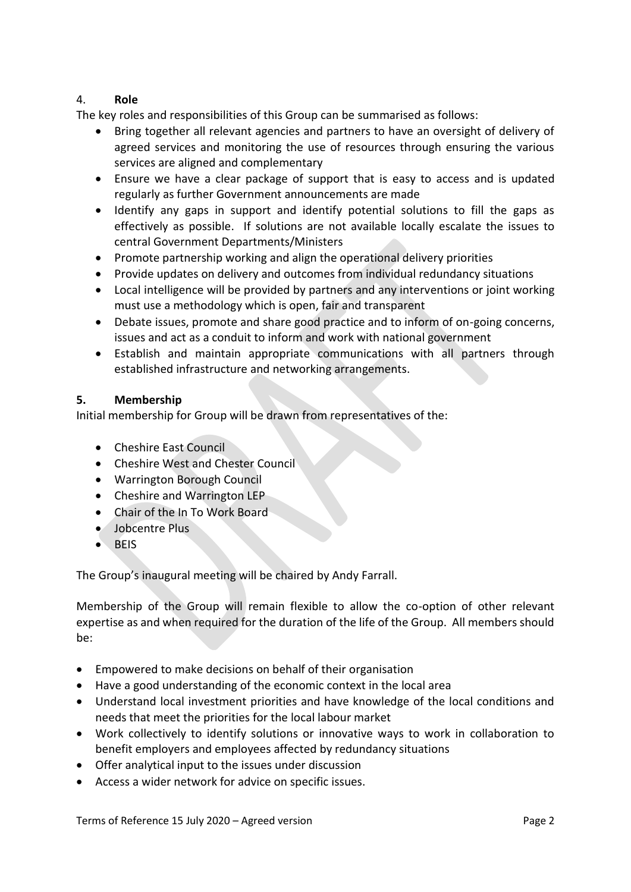# 4. **Role**

The key roles and responsibilities of this Group can be summarised as follows:

- Bring together all relevant agencies and partners to have an oversight of delivery of agreed services and monitoring the use of resources through ensuring the various services are aligned and complementary
- Ensure we have a clear package of support that is easy to access and is updated regularly as further Government announcements are made
- Identify any gaps in support and identify potential solutions to fill the gaps as effectively as possible. If solutions are not available locally escalate the issues to central Government Departments/Ministers
- Promote partnership working and align the operational delivery priorities
- Provide updates on delivery and outcomes from individual redundancy situations
- Local intelligence will be provided by partners and any interventions or joint working must use a methodology which is open, fair and transparent
- Debate issues, promote and share good practice and to inform of on-going concerns, issues and act as a conduit to inform and work with national government
- Establish and maintain appropriate communications with all partners through established infrastructure and networking arrangements.

# **5. Membership**

Initial membership for Group will be drawn from representatives of the:

- Cheshire East Council
- Cheshire West and Chester Council
- Warrington Borough Council
- Cheshire and Warrington LEP
- Chair of the In To Work Board
- Jobcentre Plus
- BEIS

The Group's inaugural meeting will be chaired by Andy Farrall.

Membership of the Group will remain flexible to allow the co-option of other relevant expertise as and when required for the duration of the life of the Group. All members should be:

- Empowered to make decisions on behalf of their organisation
- Have a good understanding of the economic context in the local area
- Understand local investment priorities and have knowledge of the local conditions and needs that meet the priorities for the local labour market
- Work collectively to identify solutions or innovative ways to work in collaboration to benefit employers and employees affected by redundancy situations
- Offer analytical input to the issues under discussion
- Access a wider network for advice on specific issues.

Terms of Reference 15 July 2020 – Agreed version **Page 2** Page 2